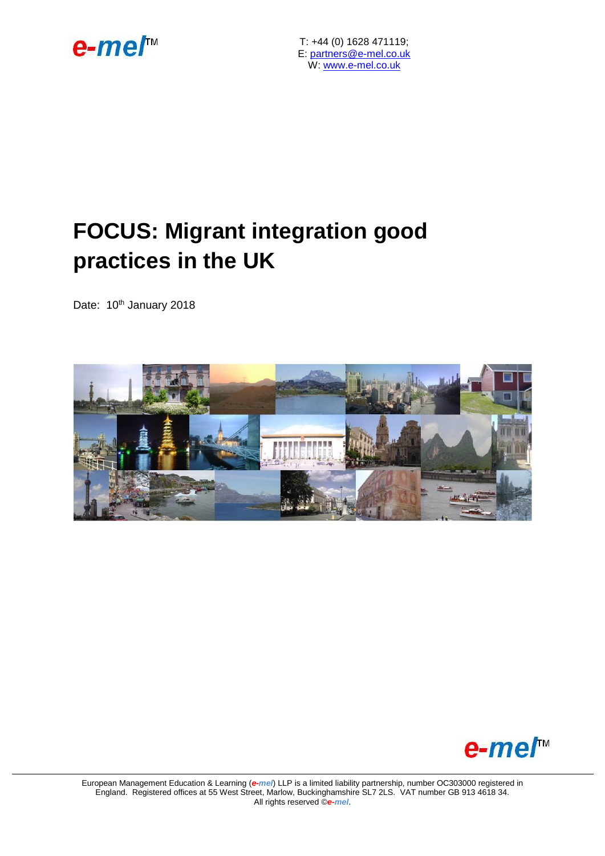

T: +44 (0) 1628 471119; E: [partners@e-mel.co.uk](mailto:partners@e-mel.co.uk)  W: [www.e-mel.co.uk](http://www.e-mel.co.uk/)

# **FOCUS: Migrant integration good practices in the UK**

Date: 10<sup>th</sup> January 2018





European Management Education & Learning (*e-mel*) LLP is a limited liability partnership, number OC303000 registered in England. Registered offices at 55 West Street, Marlow, Buckinghamshire SL7 2LS. VAT number GB 913 4618 34. All rights reserved ©*e-mel*.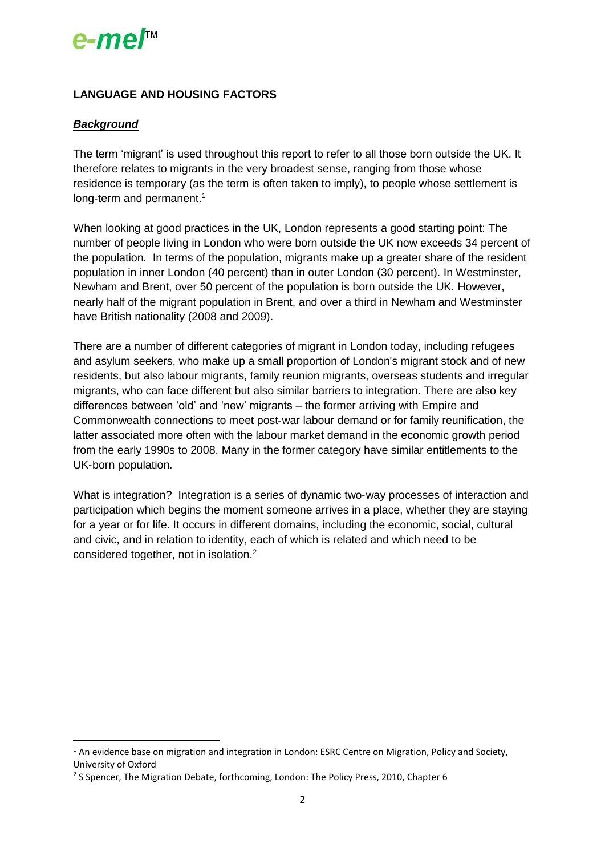# $e$ -me $\Gamma$ <sup>\*</sup>

### **LANGUAGE AND HOUSING FACTORS**

#### *Background*

**.** 

The term 'migrant' is used throughout this report to refer to all those born outside the UK. It therefore relates to migrants in the very broadest sense, ranging from those whose residence is temporary (as the term is often taken to imply), to people whose settlement is long-term and permanent.<sup>1</sup>

When looking at good practices in the UK, London represents a good starting point: The number of people living in London who were born outside the UK now exceeds 34 percent of the population. In terms of the population, migrants make up a greater share of the resident population in inner London (40 percent) than in outer London (30 percent). In Westminster, Newham and Brent, over 50 percent of the population is born outside the UK. However, nearly half of the migrant population in Brent, and over a third in Newham and Westminster have British nationality (2008 and 2009).

There are a number of different categories of migrant in London today, including refugees and asylum seekers, who make up a small proportion of London's migrant stock and of new residents, but also labour migrants, family reunion migrants, overseas students and irregular migrants, who can face different but also similar barriers to integration. There are also key differences between 'old' and 'new' migrants – the former arriving with Empire and Commonwealth connections to meet post‐war labour demand or for family reunification, the latter associated more often with the labour market demand in the economic growth period from the early 1990s to 2008. Many in the former category have similar entitlements to the UK‐born population.

What is integration? Integration is a series of dynamic two-way processes of interaction and participation which begins the moment someone arrives in a place, whether they are staying for a year or for life. It occurs in different domains, including the economic, social, cultural and civic, and in relation to identity, each of which is related and which need to be considered together, not in isolation.<sup>2</sup>

<sup>&</sup>lt;sup>1</sup> An evidence base on migration and integration in London: ESRC Centre on Migration, Policy and Society, University of Oxford

<sup>&</sup>lt;sup>2</sup> S Spencer, The Migration Debate, forthcoming, London: The Policy Press, 2010, Chapter 6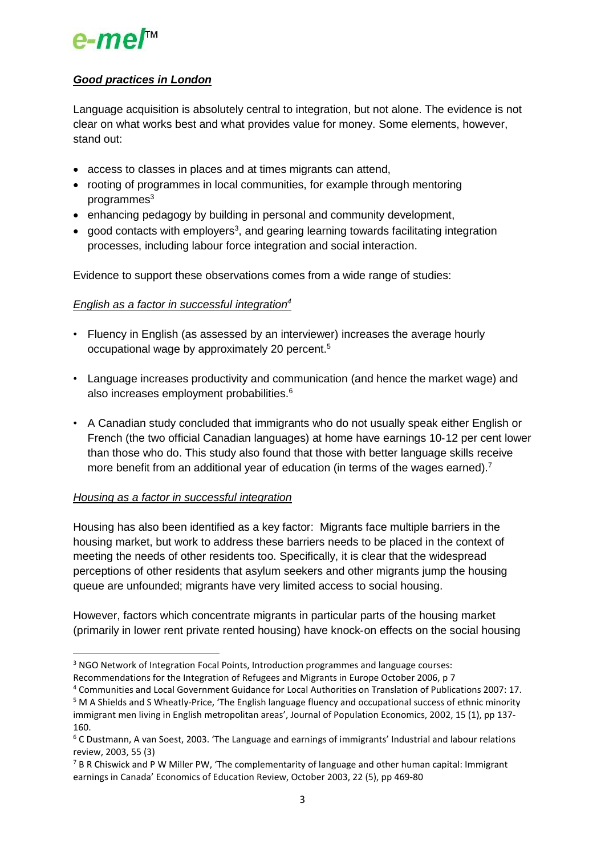# e-mer<sup>™</sup>

### *Good practices in London*

Language acquisition is absolutely central to integration, but not alone. The evidence is not clear on what works best and what provides value for money. Some elements, however, stand out:

- access to classes in places and at times migrants can attend,
- rooting of programmes in local communities, for example through mentoring  $programmes<sup>3</sup>$
- enhancing pedagogy by building in personal and community development,
- $\bullet$  good contacts with employers<sup>3</sup>, and gearing learning towards facilitating integration processes, including labour force integration and social interaction.

Evidence to support these observations comes from a wide range of studies:

### *English as a factor in successful integration<sup>4</sup>*

- Fluency in English (as assessed by an interviewer) increases the average hourly occupational wage by approximately 20 percent.<sup>5</sup>
- Language increases productivity and communication (and hence the market wage) and also increases employment probabilities.<sup>6</sup>
- A Canadian study concluded that immigrants who do not usually speak either English or French (the two official Canadian languages) at home have earnings 10‐12 per cent lower than those who do. This study also found that those with better language skills receive more benefit from an additional year of education (in terms of the wages earned).<sup>7</sup>

#### *Housing as a factor in successful integration*

1

Housing has also been identified as a key factor: Migrants face multiple barriers in the housing market, but work to address these barriers needs to be placed in the context of meeting the needs of other residents too. Specifically, it is clear that the widespread perceptions of other residents that asylum seekers and other migrants jump the housing queue are unfounded; migrants have very limited access to social housing.

However, factors which concentrate migrants in particular parts of the housing market (primarily in lower rent private rented housing) have knock‐on effects on the social housing

<sup>4</sup> Communities and Local Government Guidance for Local Authorities on Translation of Publications 2007: 17.

<sup>3</sup> NGO Network of Integration Focal Points, Introduction programmes and language courses:

Recommendations for the Integration of Refugees and Migrants in Europe October 2006, p 7

<sup>5</sup> M A Shields and S Wheatly‐Price, 'The English language fluency and occupational success of ethnic minority immigrant men living in English metropolitan areas', Journal of Population Economics, 2002, 15 (1), pp 137‐ 160.

<sup>6</sup> C Dustmann, A van Soest, 2003. 'The Language and earnings of immigrants' Industrial and labour relations review, 2003, 55 (3)

 $7$  B R Chiswick and P W Miller PW, 'The complementarity of language and other human capital: Immigrant earnings in Canada' Economics of Education Review, October 2003, 22 (5), pp 469‐80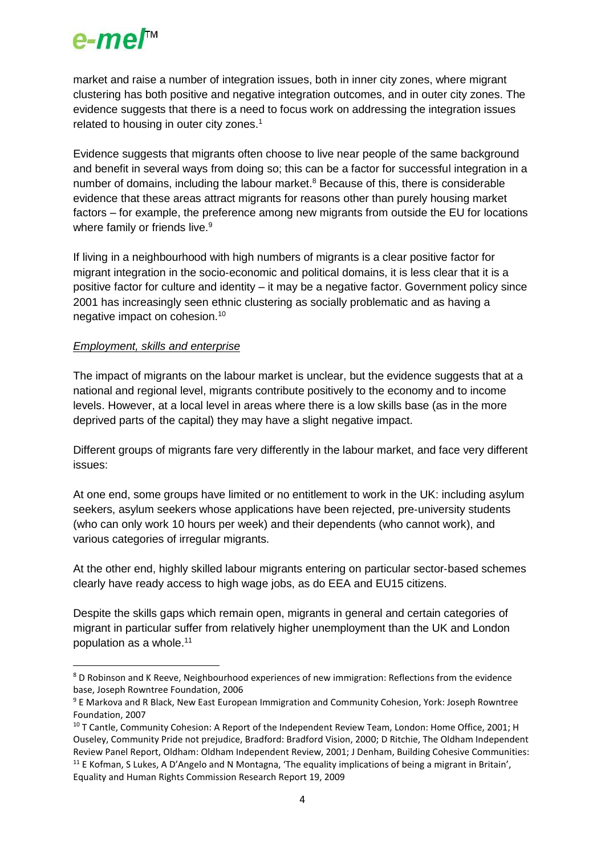

market and raise a number of integration issues, both in inner city zones, where migrant clustering has both positive and negative integration outcomes, and in outer city zones. The evidence suggests that there is a need to focus work on addressing the integration issues related to housing in outer city zones.<sup>1</sup>

Evidence suggests that migrants often choose to live near people of the same background and benefit in several ways from doing so; this can be a factor for successful integration in a number of domains, including the labour market.<sup>8</sup> Because of this, there is considerable evidence that these areas attract migrants for reasons other than purely housing market factors – for example, the preference among new migrants from outside the EU for locations where family or friends live.<sup>9</sup>

If living in a neighbourhood with high numbers of migrants is a clear positive factor for migrant integration in the socio‐economic and political domains, it is less clear that it is a positive factor for culture and identity – it may be a negative factor. Government policy since 2001 has increasingly seen ethnic clustering as socially problematic and as having a negative impact on cohesion.<sup>10</sup>

#### *Employment, skills and enterprise*

 $\overline{a}$ 

The impact of migrants on the labour market is unclear, but the evidence suggests that at a national and regional level, migrants contribute positively to the economy and to income levels. However, at a local level in areas where there is a low skills base (as in the more deprived parts of the capital) they may have a slight negative impact.

Different groups of migrants fare very differently in the labour market, and face very different issues:

At one end, some groups have limited or no entitlement to work in the UK: including asylum seekers, asylum seekers whose applications have been rejected, pre-university students (who can only work 10 hours per week) and their dependents (who cannot work), and various categories of irregular migrants.

At the other end, highly skilled labour migrants entering on particular sector-based schemes clearly have ready access to high wage jobs, as do EEA and EU15 citizens.

Despite the skills gaps which remain open, migrants in general and certain categories of migrant in particular suffer from relatively higher unemployment than the UK and London population as a whole.<sup>11</sup>

<sup>&</sup>lt;sup>8</sup> D Robinson and K Reeve, Neighbourhood experiences of new immigration: Reflections from the evidence base, Joseph Rowntree Foundation, 2006

<sup>9</sup> E Markova and R Black, New East European Immigration and Community Cohesion, York: Joseph Rowntree Foundation, 2007

<sup>&</sup>lt;sup>10</sup> T Cantle, Community Cohesion: A Report of the Independent Review Team, London: Home Office, 2001; H Ouseley, Community Pride not prejudice, Bradford: Bradford Vision, 2000; D Ritchie, The Oldham Independent Review Panel Report, Oldham: Oldham Independent Review, 2001; J Denham, Building Cohesive Communities:  $11$  E Kofman, S Lukes, A D'Angelo and N Montagna, 'The equality implications of being a migrant in Britain', Equality and Human Rights Commission Research Report 19, 2009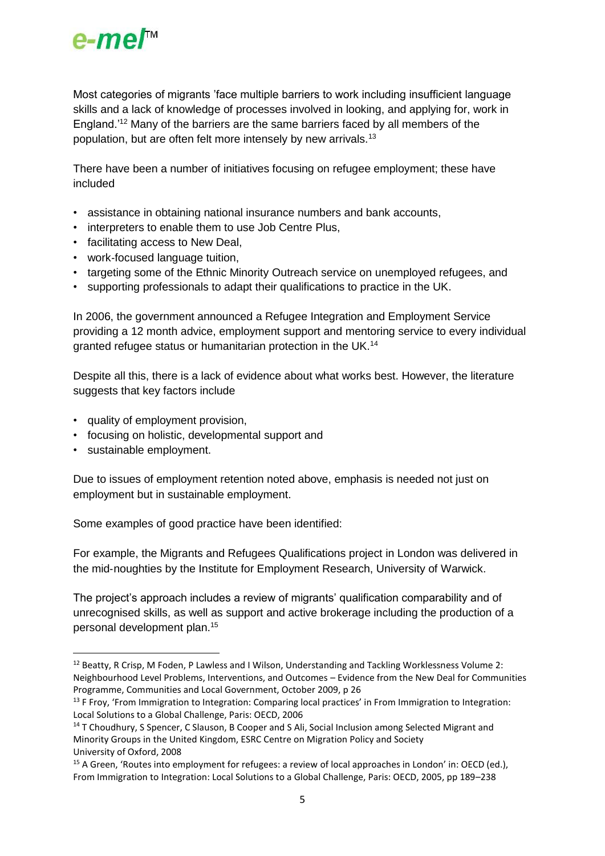

Most categories of migrants 'face multiple barriers to work including insufficient language skills and a lack of knowledge of processes involved in looking, and applying for, work in England.'<sup>12</sup> Many of the barriers are the same barriers faced by all members of the population, but are often felt more intensely by new arrivals.<sup>13</sup>

There have been a number of initiatives focusing on refugee employment; these have included

- assistance in obtaining national insurance numbers and bank accounts,
- interpreters to enable them to use Job Centre Plus,
- facilitating access to New Deal,
- work-focused language tuition,
- targeting some of the Ethnic Minority Outreach service on unemployed refugees, and
- supporting professionals to adapt their qualifications to practice in the UK.

In 2006, the government announced a Refugee Integration and Employment Service providing a 12 month advice, employment support and mentoring service to every individual granted refugee status or humanitarian protection in the UK.<sup>14</sup>

Despite all this, there is a lack of evidence about what works best. However, the literature suggests that key factors include

- quality of employment provision,
- focusing on holistic, developmental support and
- sustainable employment.

1

Due to issues of employment retention noted above, emphasis is needed not just on employment but in sustainable employment.

Some examples of good practice have been identified:

For example, the Migrants and Refugees Qualifications project in London was delivered in the mid‐noughties by the Institute for Employment Research, University of Warwick.

The project's approach includes a review of migrants' qualification comparability and of unrecognised skills, as well as support and active brokerage including the production of a personal development plan.<sup>15</sup>

<sup>12</sup> Beatty, R Crisp, M Foden, P Lawless and I Wilson, Understanding and Tackling Worklessness Volume 2: Neighbourhood Level Problems, Interventions, and Outcomes – Evidence from the New Deal for Communities Programme, Communities and Local Government, October 2009, p 26

<sup>&</sup>lt;sup>13</sup> F Froy, 'From Immigration to Integration: Comparing local practices' in From Immigration to Integration: Local Solutions to a Global Challenge, Paris: OECD, 2006

<sup>&</sup>lt;sup>14</sup> T Choudhury, S Spencer, C Slauson, B Cooper and S Ali, Social Inclusion among Selected Migrant and Minority Groups in the United Kingdom, ESRC Centre on Migration Policy and Society University of Oxford, 2008

<sup>&</sup>lt;sup>15</sup> A Green, 'Routes into employment for refugees: a review of local approaches in London' in: OECD (ed.), From Immigration to Integration: Local Solutions to a Global Challenge, Paris: OECD, 2005, pp 189–238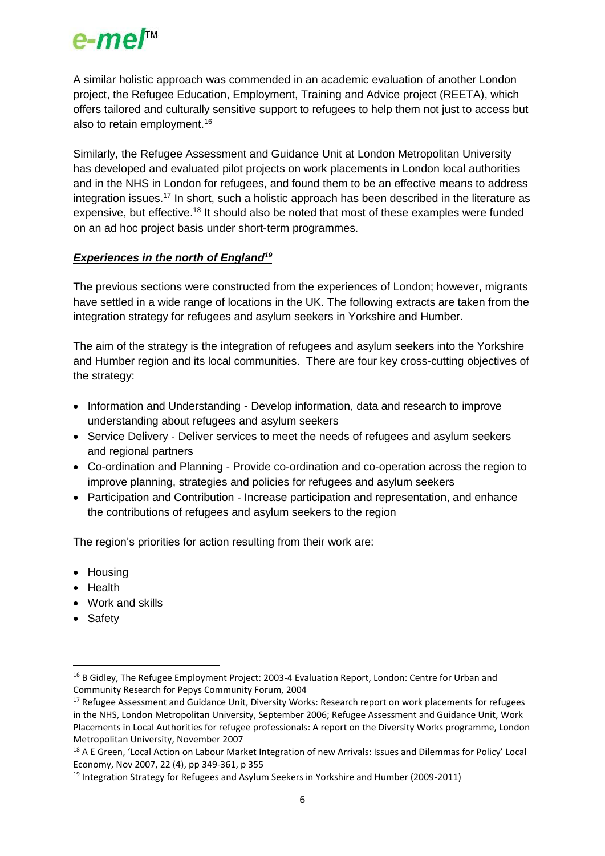# $e$ -me $I^{\scriptscriptstyle\mathsf{M}}$

A similar holistic approach was commended in an academic evaluation of another London project, the Refugee Education, Employment, Training and Advice project (REETA), which offers tailored and culturally sensitive support to refugees to help them not just to access but also to retain employment.<sup>16</sup>

Similarly, the Refugee Assessment and Guidance Unit at London Metropolitan University has developed and evaluated pilot projects on work placements in London local authorities and in the NHS in London for refugees, and found them to be an effective means to address integration issues.<sup>17</sup> In short, such a holistic approach has been described in the literature as expensive, but effective.<sup>18</sup> It should also be noted that most of these examples were funded on an ad hoc project basis under short‐term programmes.

### *Experiences in the north of England<sup>19</sup>*

The previous sections were constructed from the experiences of London; however, migrants have settled in a wide range of locations in the UK. The following extracts are taken from the integration strategy for refugees and asylum seekers in Yorkshire and Humber.

The aim of the strategy is the integration of refugees and asylum seekers into the Yorkshire and Humber region and its local communities. There are four key cross-cutting objectives of the strategy:

- Information and Understanding Develop information, data and research to improve understanding about refugees and asylum seekers
- Service Delivery Deliver services to meet the needs of refugees and asylum seekers and regional partners
- Co-ordination and Planning Provide co-ordination and co-operation across the region to improve planning, strategies and policies for refugees and asylum seekers
- Participation and Contribution Increase participation and representation, and enhance the contributions of refugees and asylum seekers to the region

The region's priorities for action resulting from their work are:

- Housing
- Health
- Work and skills
- Safety

 $\overline{a}$ 

<sup>&</sup>lt;sup>16</sup> B Gidley, The Refugee Employment Project: 2003-4 Evaluation Report, London: Centre for Urban and Community Research for Pepys Community Forum, 2004

<sup>&</sup>lt;sup>17</sup> Refugee Assessment and Guidance Unit, Diversity Works: Research report on work placements for refugees in the NHS, London Metropolitan University, September 2006; Refugee Assessment and Guidance Unit, Work Placements in Local Authorities for refugee professionals: A report on the Diversity Works programme, London Metropolitan University, November 2007

<sup>&</sup>lt;sup>18</sup> A E Green, 'Local Action on Labour Market Integration of new Arrivals: Issues and Dilemmas for Policy' Local Economy, Nov 2007, 22 (4), pp 349‐361, p 355

<sup>&</sup>lt;sup>19</sup> Integration Strategy for Refugees and Asylum Seekers in Yorkshire and Humber (2009-2011)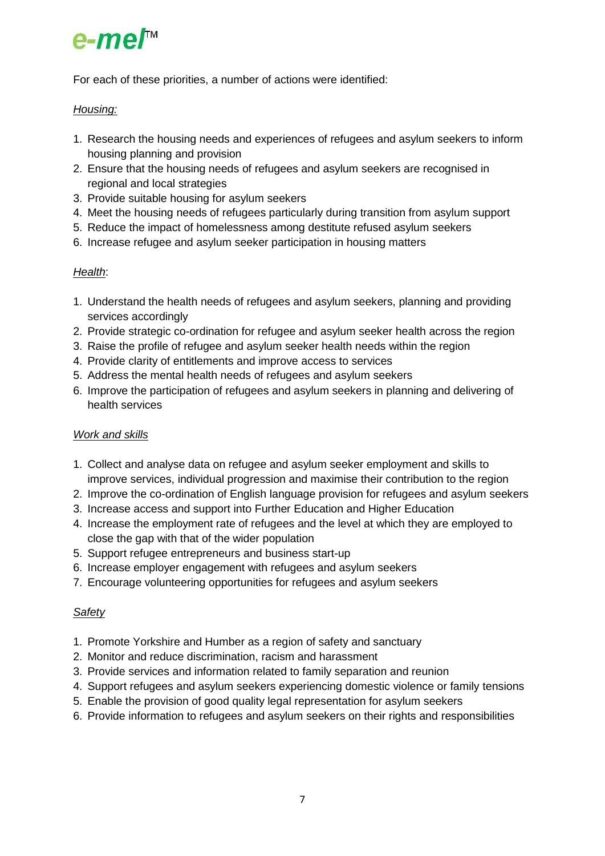# e-me/™

For each of these priorities, a number of actions were identified:

### *Housing:*

- 1. Research the housing needs and experiences of refugees and asylum seekers to inform housing planning and provision
- 2. Ensure that the housing needs of refugees and asylum seekers are recognised in regional and local strategies
- 3. Provide suitable housing for asylum seekers
- 4. Meet the housing needs of refugees particularly during transition from asylum support
- 5. Reduce the impact of homelessness among destitute refused asylum seekers
- 6. Increase refugee and asylum seeker participation in housing matters

# *Health*:

- 1. Understand the health needs of refugees and asylum seekers, planning and providing services accordingly
- 2. Provide strategic co-ordination for refugee and asylum seeker health across the region
- 3. Raise the profile of refugee and asylum seeker health needs within the region
- 4. Provide clarity of entitlements and improve access to services
- 5. Address the mental health needs of refugees and asylum seekers
- 6. Improve the participation of refugees and asylum seekers in planning and delivering of health services

### *Work and skills*

- 1. Collect and analyse data on refugee and asylum seeker employment and skills to improve services, individual progression and maximise their contribution to the region
- 2. Improve the co-ordination of English language provision for refugees and asylum seekers
- 3. Increase access and support into Further Education and Higher Education
- 4. Increase the employment rate of refugees and the level at which they are employed to close the gap with that of the wider population
- 5. Support refugee entrepreneurs and business start-up
- 6. Increase employer engagement with refugees and asylum seekers
- 7. Encourage volunteering opportunities for refugees and asylum seekers

# *Safety*

- 1. Promote Yorkshire and Humber as a region of safety and sanctuary
- 2. Monitor and reduce discrimination, racism and harassment
- 3. Provide services and information related to family separation and reunion
- 4. Support refugees and asylum seekers experiencing domestic violence or family tensions
- 5. Enable the provision of good quality legal representation for asylum seekers
- 6. Provide information to refugees and asylum seekers on their rights and responsibilities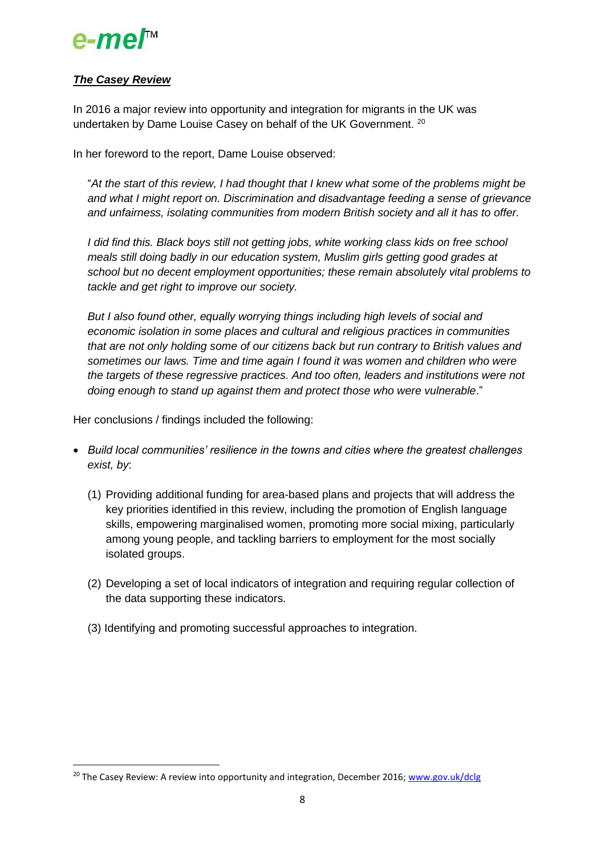

### *The Casey Review*

**.** 

In 2016 a major review into opportunity and integration for migrants in the UK was undertaken by Dame Louise Casey on behalf of the UK Government. <sup>20</sup>

In her foreword to the report, Dame Louise observed:

"*At the start of this review, I had thought that I knew what some of the problems might be and what I might report on. Discrimination and disadvantage feeding a sense of grievance and unfairness, isolating communities from modern British society and all it has to offer.*

*I did find this. Black boys still not getting jobs, white working class kids on free school meals still doing badly in our education system, Muslim girls getting good grades at school but no decent employment opportunities; these remain absolutely vital problems to tackle and get right to improve our society.*

*But I also found other, equally worrying things including high levels of social and economic isolation in some places and cultural and religious practices in communities that are not only holding some of our citizens back but run contrary to British values and sometimes our laws. Time and time again I found it was women and children who were the targets of these regressive practices. And too often, leaders and institutions were not doing enough to stand up against them and protect those who were vulnerable*."

Her conclusions / findings included the following:

- *Build local communities' resilience in the towns and cities where the greatest challenges exist, by*:
	- (1) Providing additional funding for area-based plans and projects that will address the key priorities identified in this review, including the promotion of English language skills, empowering marginalised women, promoting more social mixing, particularly among young people, and tackling barriers to employment for the most socially isolated groups.
	- (2) Developing a set of local indicators of integration and requiring regular collection of the data supporting these indicators.
	- (3) Identifying and promoting successful approaches to integration.

<sup>&</sup>lt;sup>20</sup> The Casey Review: A review into opportunity and integration, December 2016; [www.gov.uk/dclg](http://www.gov.uk/dclg)